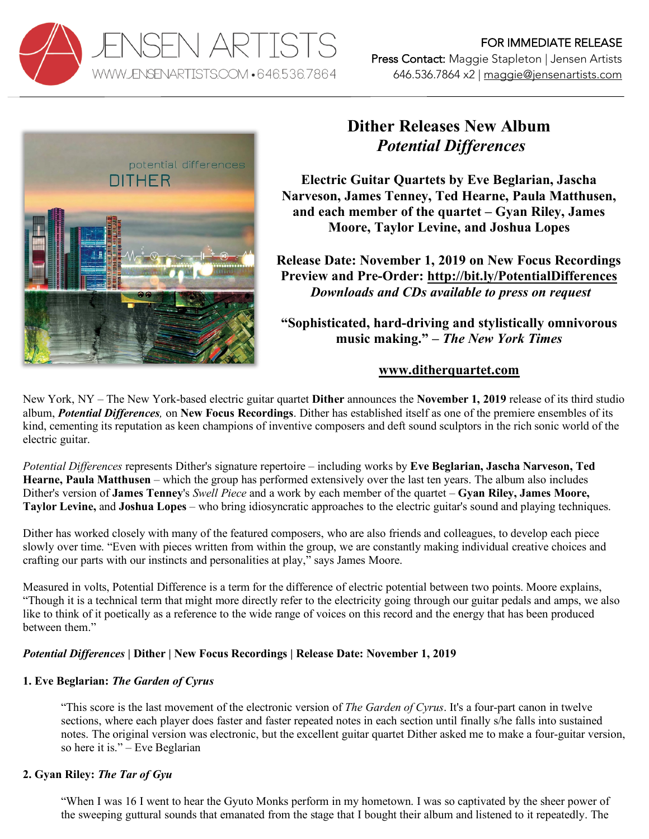



# **Dither Releases New Album** *Potential Differences*

**Electric Guitar Quartets by Eve Beglarian, Jascha Narveson, James Tenney, Ted Hearne, Paula Matthusen, and each member of the quartet – Gyan Riley, James Moore, Taylor Levine, and Joshua Lopes**

**Release Date: November 1, 2019 on New Focus Recordings Preview and Pre-Order: http://bit.ly/PotentialDifferences** *Downloads and CDs available to press on request*

**"Sophisticated, hard-driving and stylistically omnivorous music making." –** *The New York Times*

## **www.ditherquartet.com**

New York, NY – The New York-based electric guitar quartet **Dither** announces the **November 1, 2019** release of its third studio album, *Potential Differences,* on **New Focus Recordings**. Dither has established itself as one of the premiere ensembles of its kind, cementing its reputation as keen champions of inventive composers and deft sound sculptors in the rich sonic world of the electric guitar.

*Potential Differences* represents Dither's signature repertoire – including works by **Eve Beglarian, Jascha Narveson, Ted Hearne, Paula Matthusen** – which the group has performed extensively over the last ten years. The album also includes Dither's version of **James Tenney**'s *Swell Piece* and a work by each member of the quartet – **Gyan Riley, James Moore, Taylor Levine,** and **Joshua Lopes** – who bring idiosyncratic approaches to the electric guitar's sound and playing techniques.

Dither has worked closely with many of the featured composers, who are also friends and colleagues, to develop each piece slowly over time. "Even with pieces written from within the group, we are constantly making individual creative choices and crafting our parts with our instincts and personalities at play," says James Moore.

Measured in volts, Potential Difference is a term for the difference of electric potential between two points. Moore explains, "Though it is a technical term that might more directly refer to the electricity going through our guitar pedals and amps, we also like to think of it poetically as a reference to the wide range of voices on this record and the energy that has been produced between them"

## *Potential Differences* **| Dither | New Focus Recordings | Release Date: November 1, 2019**

## **1. Eve Beglarian:** *The Garden of Cyrus*

"This score is the last movement of the electronic version of *The Garden of Cyrus*. It's a four-part canon in twelve sections, where each player does faster and faster repeated notes in each section until finally s/he falls into sustained notes. The original version was electronic, but the excellent guitar quartet Dither asked me to make a four-guitar version, so here it is." – Eve Beglarian

## **2. Gyan Riley:** *The Tar of Gyu*

"When I was 16 I went to hear the Gyuto Monks perform in my hometown. I was so captivated by the sheer power of the sweeping guttural sounds that emanated from the stage that I bought their album and listened to it repeatedly. The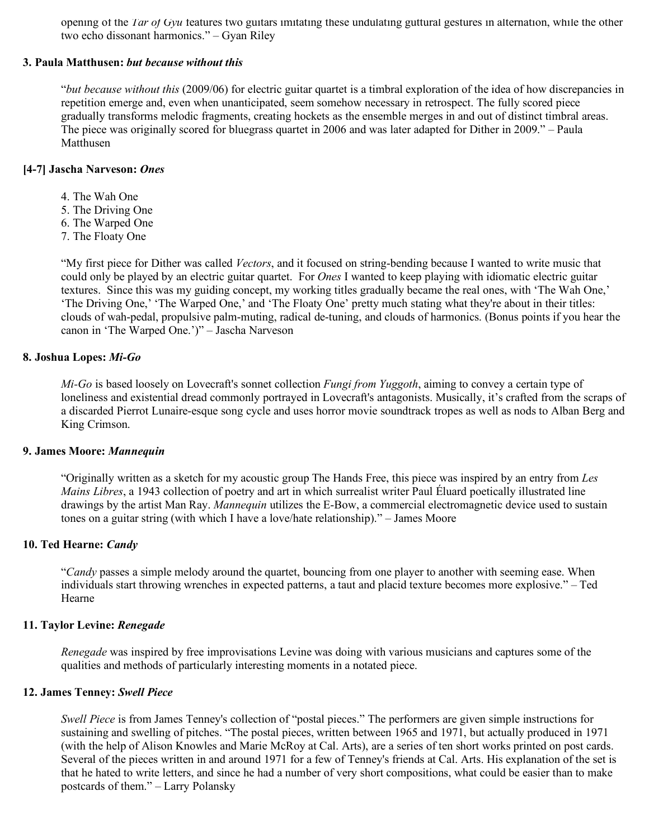opening of the *Tar of Gyu* features two guitars imitating these undulating guttural gestures in alternation, while the other two echo dissonant harmonics." – Gyan Riley

#### **3. Paula Matthusen:** *but because without this*

"*but because without this* (2009/06) for electric guitar quartet is a timbral exploration of the idea of how discrepancies in repetition emerge and, even when unanticipated, seem somehow necessary in retrospect. The fully scored piece gradually transforms melodic fragments, creating hockets as the ensemble merges in and out of distinct timbral areas. The piece was originally scored for bluegrass quartet in 2006 and was later adapted for Dither in 2009." – Paula Matthusen

#### **[4-7] Jascha Narveson:** *Ones*

- 4. The Wah One
- 5. The Driving One
- 6. The Warped One
- 7. The Floaty One

"My first piece for Dither was called *Vectors*, and it focused on string-bending because I wanted to write music that could only be played by an electric guitar quartet. For *Ones* I wanted to keep playing with idiomatic electric guitar textures. Since this was my guiding concept, my working titles gradually became the real ones, with 'The Wah One,' 'The Driving One,' 'The Warped One,' and 'The Floaty One' pretty much stating what they're about in their titles: clouds of wah-pedal, propulsive palm-muting, radical de-tuning, and clouds of harmonics. (Bonus points if you hear the canon in 'The Warped One.')" – Jascha Narveson

#### **8. Joshua Lopes:** *Mi-Go*

*Mi-Go* is based loosely on Lovecraft's sonnet collection *Fungi from Yuggoth*, aiming to convey a certain type of loneliness and existential dread commonly portrayed in Lovecraft's antagonists. Musically, it's crafted from the scraps of a discarded Pierrot Lunaire-esque song cycle and uses horror movie soundtrack tropes as well as nods to Alban Berg and King Crimson.

#### **9. James Moore:** *Mannequin*

"Originally written as a sketch for my acoustic group The Hands Free, this piece was inspired by an entry from *Les Mains Libres*, a 1943 collection of poetry and art in which surrealist writer Paul Éluard poetically illustrated line drawings by the artist Man Ray. *Mannequin* utilizes the E-Bow, a commercial electromagnetic device used to sustain tones on a guitar string (with which I have a love/hate relationship)." – James Moore

#### **10. Ted Hearne:** *Candy*

"*Candy* passes a simple melody around the quartet, bouncing from one player to another with seeming ease. When individuals start throwing wrenches in expected patterns, a taut and placid texture becomes more explosive." – Ted Hearne

#### **11. Taylor Levine:** *Renegade*

*Renegade* was inspired by free improvisations Levine was doing with various musicians and captures some of the qualities and methods of particularly interesting moments in a notated piece.

#### **12. James Tenney:** *Swell Piece*

*Swell Piece* is from James Tenney's collection of "postal pieces." The performers are given simple instructions for sustaining and swelling of pitches. "The postal pieces, written between 1965 and 1971, but actually produced in 1971 (with the help of Alison Knowles and Marie McRoy at Cal. Arts), are a series of ten short works printed on post cards. Several of the pieces written in and around 1971 for a few of Tenney's friends at Cal. Arts. His explanation of the set is that he hated to write letters, and since he had a number of very short compositions, what could be easier than to make postcards of them." – Larry Polansky